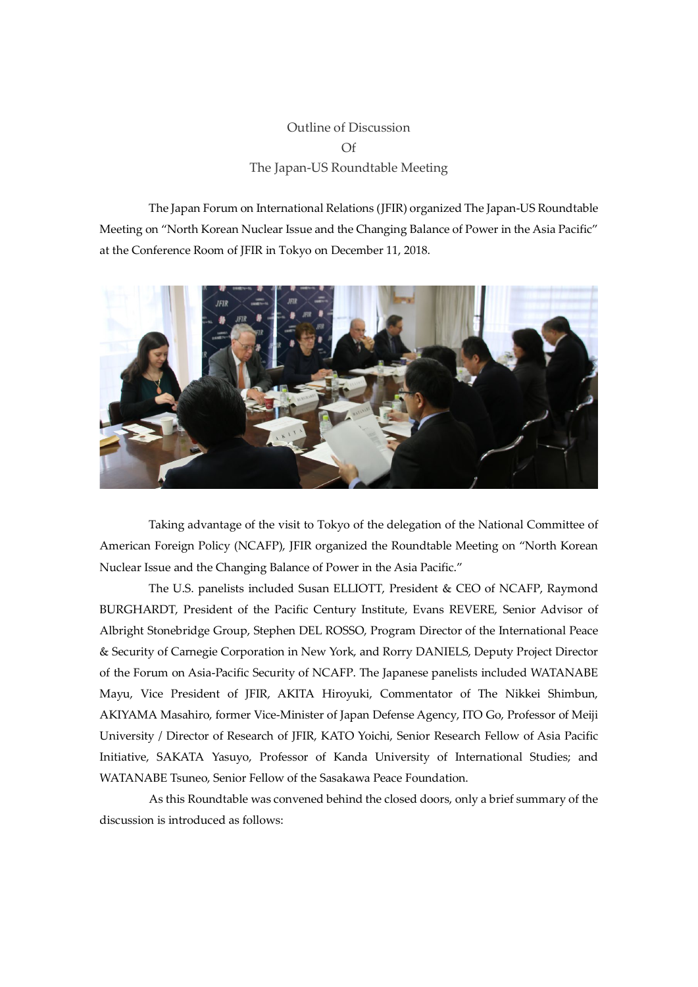## Outline of Discussion Of The Japan-US Roundtable Meeting

The Japan Forum on International Relations (JFIR) organized The Japan-US Roundtable Meeting on "North Korean Nuclear Issue and the Changing Balance of Power in the Asia Pacific" at the Conference Room of JFIR in Tokyo on December 11, 2018.



Taking advantage of the visit to Tokyo of the delegation of the National Committee of American Foreign Policy (NCAFP), JFIR organized the Roundtable Meeting on "North Korean Nuclear Issue and the Changing Balance of Power in the Asia Pacific."

The U.S. panelists included Susan ELLIOTT, President & CEO of NCAFP, Raymond BURGHARDT, President of the Pacific Century Institute, Evans REVERE, Senior Advisor of Albright Stonebridge Group, Stephen DEL ROSSO, Program Director of the International Peace & Security of Carnegie Corporation in New York, and Rorry DANIELS, Deputy Project Director of the Forum on Asia-Pacific Security of NCAFP. The Japanese panelists included WATANABE Mayu, Vice President of JFIR, AKITA Hiroyuki, Commentator of The Nikkei Shimbun, AKIYAMA Masahiro, former Vice-Minister of Japan Defense Agency, ITO Go, Professor of Meiji University / Director of Research of JFIR, KATO Yoichi, Senior Research Fellow of Asia Pacific Initiative, SAKATA Yasuyo, Professor of Kanda University of International Studies; and WATANABE Tsuneo, Senior Fellow of the Sasakawa Peace Foundation.

As this Roundtable was convened behind the closed doors, only a brief summary of the discussion is introduced as follows: